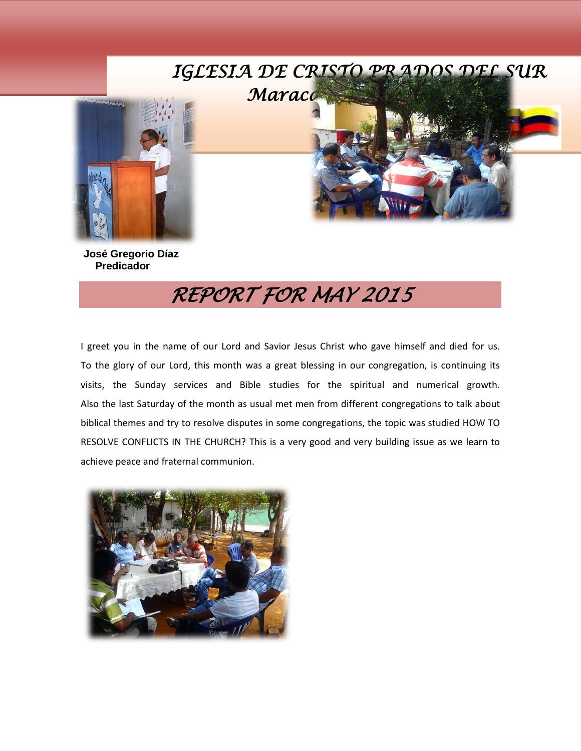

**José Gregorio Díaz Predicador**

## *REPORT FOR MAY 2015*

I greet you in the name of our Lord and Savior Jesus Christ who gave himself and died for us. To the glory of our Lord, this month was a great blessing in our congregation, is continuing its visits, the Sunday services and Bible studies for the spiritual and numerical growth. Also the last Saturday of the month as usual met men from different congregations to talk about biblical themes and try to resolve disputes in some congregations, the topic was studied HOW TO RESOLVE CONFLICTS IN THE CHURCH? This is a very good and very building issue as we learn to achieve peace and fraternal communion.

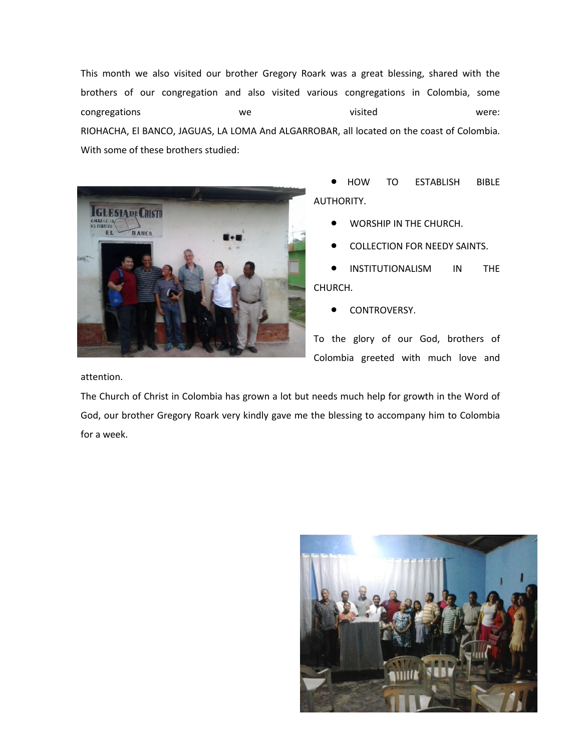This month we also visited our brother Gregory Roark was a great blessing, shared with the brothers of our congregation and also visited various congregations in Colombia, some congregations we were: we visited were: RIOHACHA, El BANCO, JAGUAS, LA LOMA And ALGARROBAR, all located on the coast of Colombia. With some of these brothers studied:



 HOW TO ESTABLISH BIBLE AUTHORITY.

- WORSHIP IN THE CHURCH.
- COLLECTION FOR NEEDY SAINTS.

 INSTITUTIONALISM IN THE CHURCH.

**•** CONTROVERSY.

To the glory of our God, brothers of Colombia greeted with much love and

attention.

The Church of Christ in Colombia has grown a lot but needs much help for growth in the Word of God, our brother Gregory Roark very kindly gave me the blessing to accompany him to Colombia for a week.

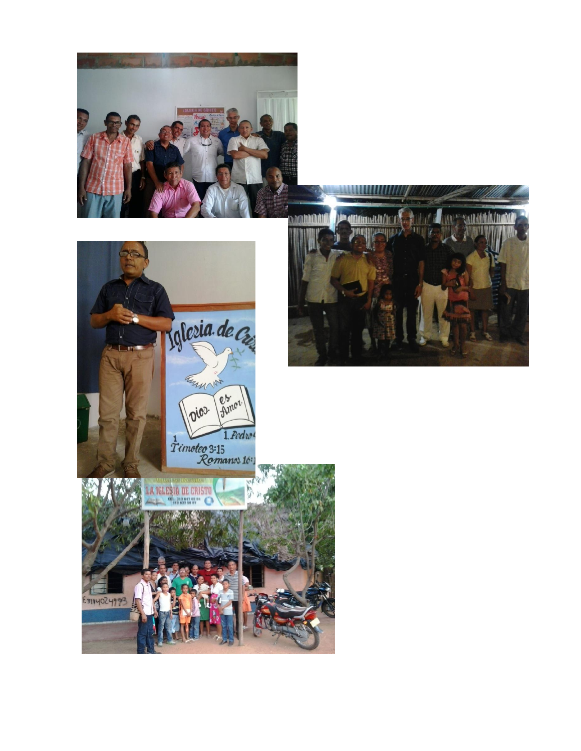



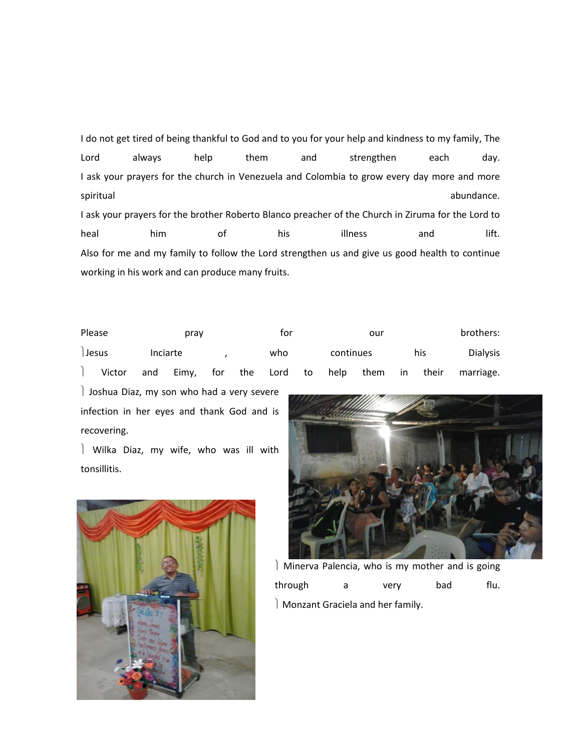I do not get tired of being thankful to God and to you for your help and kindness to my family, The Lord always help them and strengthen each day. I ask your prayers for the church in Venezuela and Colombia to grow every day more and more spiritual abundance. The set of the set of the set of the set of the set of the set of the set of the set of t I ask your prayers for the brother Roberto Blanco preacher of the Church in Ziruma for the Lord to heal him of his illness and lift. Also for me and my family to follow the Lord strengthen us and give us good health to continue working in his work and can produce many fruits.

| Please |        | prav     |       |         |  | tor  |       | our  |           |       |       | brothers:       |
|--------|--------|----------|-------|---------|--|------|-------|------|-----------|-------|-------|-----------------|
| Jesus  |        | Inciarte |       |         |  | who  |       |      | continues |       | his   | <b>Dialysis</b> |
|        | Victor | and      | Eimv. | for the |  | Lord | to to | help | them      | in in | their | marriage.       |

 Joshua Diaz, my son who had a very severe infection in her eyes and thank God and is recovering.

 Wilka Diaz, my wife, who was ill with tonsillitis.





 Minerva Palencia, who is my mother and is going through a very bad flu. Monzant Graciela and her family.